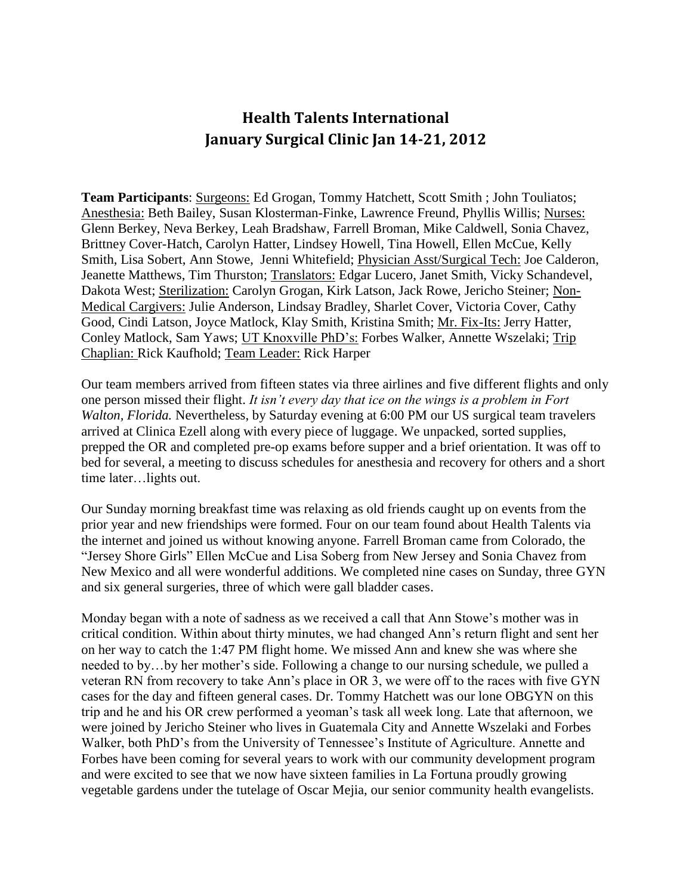## **Health Talents International January Surgical Clinic Jan 14-21, 2012**

**Team Participants**: Surgeons: Ed Grogan, Tommy Hatchett, Scott Smith ; John Touliatos; Anesthesia: Beth Bailey, Susan Klosterman-Finke, Lawrence Freund, Phyllis Willis; Nurses: Glenn Berkey, Neva Berkey, Leah Bradshaw, Farrell Broman, Mike Caldwell, Sonia Chavez, Brittney Cover-Hatch, Carolyn Hatter, Lindsey Howell, Tina Howell, Ellen McCue, Kelly Smith, Lisa Sobert, Ann Stowe, Jenni Whitefield; Physician Asst/Surgical Tech: Joe Calderon, Jeanette Matthews, Tim Thurston; Translators: Edgar Lucero, Janet Smith, Vicky Schandevel, Dakota West; Sterilization: Carolyn Grogan, Kirk Latson, Jack Rowe, Jericho Steiner; Non-Medical Cargivers: Julie Anderson, Lindsay Bradley, Sharlet Cover, Victoria Cover, Cathy Good, Cindi Latson, Joyce Matlock, Klay Smith, Kristina Smith; Mr. Fix-Its: Jerry Hatter, Conley Matlock, Sam Yaws; UT Knoxville PhD's: Forbes Walker, Annette Wszelaki; Trip Chaplian: Rick Kaufhold; Team Leader: Rick Harper

Our team members arrived from fifteen states via three airlines and five different flights and only one person missed their flight. *It isn't every day that ice on the wings is a problem in Fort Walton, Florida.* Nevertheless, by Saturday evening at 6:00 PM our US surgical team travelers arrived at Clinica Ezell along with every piece of luggage. We unpacked, sorted supplies, prepped the OR and completed pre-op exams before supper and a brief orientation. It was off to bed for several, a meeting to discuss schedules for anesthesia and recovery for others and a short time later…lights out.

Our Sunday morning breakfast time was relaxing as old friends caught up on events from the prior year and new friendships were formed. Four on our team found about Health Talents via the internet and joined us without knowing anyone. Farrell Broman came from Colorado, the "Jersey Shore Girls" Ellen McCue and Lisa Soberg from New Jersey and Sonia Chavez from New Mexico and all were wonderful additions. We completed nine cases on Sunday, three GYN and six general surgeries, three of which were gall bladder cases.

Monday began with a note of sadness as we received a call that Ann Stowe's mother was in critical condition. Within about thirty minutes, we had changed Ann's return flight and sent her on her way to catch the 1:47 PM flight home. We missed Ann and knew she was where she needed to by…by her mother's side. Following a change to our nursing schedule, we pulled a veteran RN from recovery to take Ann's place in OR 3, we were off to the races with five GYN cases for the day and fifteen general cases. Dr. Tommy Hatchett was our lone OBGYN on this trip and he and his OR crew performed a yeoman's task all week long. Late that afternoon, we were joined by Jericho Steiner who lives in Guatemala City and Annette Wszelaki and Forbes Walker, both PhD's from the University of Tennessee's Institute of Agriculture. Annette and Forbes have been coming for several years to work with our community development program and were excited to see that we now have sixteen families in La Fortuna proudly growing vegetable gardens under the tutelage of Oscar Mejia, our senior community health evangelists.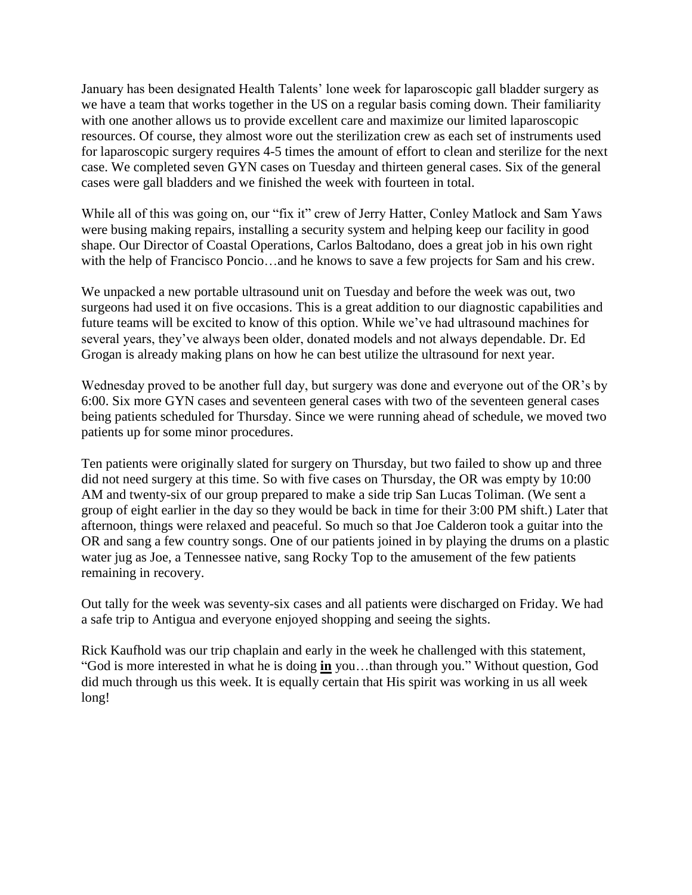January has been designated Health Talents' lone week for laparoscopic gall bladder surgery as we have a team that works together in the US on a regular basis coming down. Their familiarity with one another allows us to provide excellent care and maximize our limited laparoscopic resources. Of course, they almost wore out the sterilization crew as each set of instruments used for laparoscopic surgery requires 4-5 times the amount of effort to clean and sterilize for the next case. We completed seven GYN cases on Tuesday and thirteen general cases. Six of the general cases were gall bladders and we finished the week with fourteen in total.

While all of this was going on, our "fix it" crew of Jerry Hatter, Conley Matlock and Sam Yaws were busing making repairs, installing a security system and helping keep our facility in good shape. Our Director of Coastal Operations, Carlos Baltodano, does a great job in his own right with the help of Francisco Poncio…and he knows to save a few projects for Sam and his crew.

We unpacked a new portable ultrasound unit on Tuesday and before the week was out, two surgeons had used it on five occasions. This is a great addition to our diagnostic capabilities and future teams will be excited to know of this option. While we've had ultrasound machines for several years, they've always been older, donated models and not always dependable. Dr. Ed Grogan is already making plans on how he can best utilize the ultrasound for next year.

Wednesday proved to be another full day, but surgery was done and everyone out of the OR's by 6:00. Six more GYN cases and seventeen general cases with two of the seventeen general cases being patients scheduled for Thursday. Since we were running ahead of schedule, we moved two patients up for some minor procedures.

Ten patients were originally slated for surgery on Thursday, but two failed to show up and three did not need surgery at this time. So with five cases on Thursday, the OR was empty by 10:00 AM and twenty-six of our group prepared to make a side trip San Lucas Toliman. (We sent a group of eight earlier in the day so they would be back in time for their 3:00 PM shift.) Later that afternoon, things were relaxed and peaceful. So much so that Joe Calderon took a guitar into the OR and sang a few country songs. One of our patients joined in by playing the drums on a plastic water jug as Joe, a Tennessee native, sang Rocky Top to the amusement of the few patients remaining in recovery.

Out tally for the week was seventy-six cases and all patients were discharged on Friday. We had a safe trip to Antigua and everyone enjoyed shopping and seeing the sights.

Rick Kaufhold was our trip chaplain and early in the week he challenged with this statement, "God is more interested in what he is doing **in** you…than through you." Without question, God did much through us this week. It is equally certain that His spirit was working in us all week long!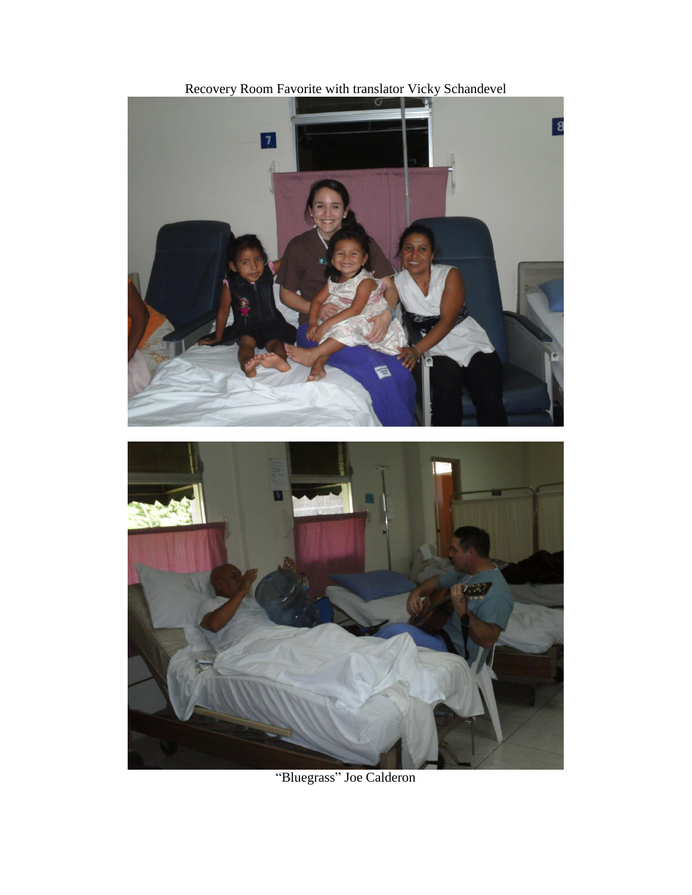

Recovery Room Favorite with translator Vicky Schandevel

"Bluegrass" Joe Calderon